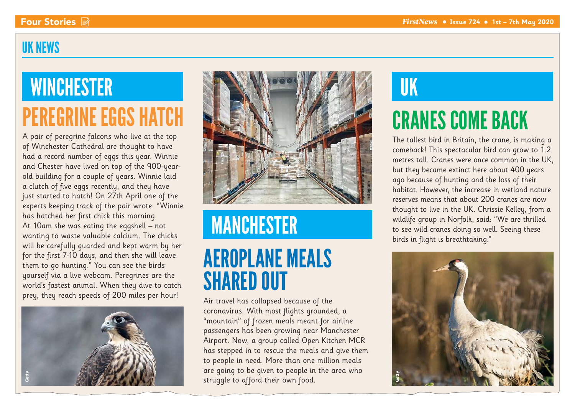### UK NEWS

# **WINCHESTER** PEREGRINE EGGS HATCH

A pair of peregrine falcons who live at the top of Winchester Cathedral are thought to have had a record number of eggs this year. Winnie and Chester have lived on top of the 900-yearold building for a couple of years. Winnie laid a clutch of five eggs recently, and they have just started to hatch! On 27th April one of the experts keeping track of the pair wrote: "Winnie has hatched her first chick this morning. At 10am she was eating the eggshell – not wanting to waste valuable calcium. The chicks will be carefully guarded and kept warm by her for the first 7-10 days, and then she will leave them to go hunting." You can see the birds yourself via a live webcam. Peregrines are the world's fastest animal. When they dive to catch prey, they reach speeds of 200 miles per hour!





# MANCHESTER

## AEROPLANE MEALS SHARED OUT

Air travel has collapsed because of the coronavirus. With most flights grounded, a "mountain" of frozen meals meant for airline passengers has been growing near Manchester Airport. Now, a group called Open Kitchen MCR has stepped in to rescue the meals and give them to people in need. More than one million meals are going to be given to people in the area who struggle to afford their own food.

# UK

# CRANES COME BACK

The tallest bird in Britain, the crane, is making a comeback! This spectacular bird can grow to 1.2 metres tall. Cranes were once common in the UK, but they became extinct here about 400 years ago because of hunting and the loss of their habitat. However, the increase in wetland nature reserves means that about 200 cranes are now thought to live in the UK. Chrissie Kelley, from a wildlife group in Norfolk, said: "We are thrilled to see wild cranes doing so well. Seeing these birds in flight is breathtaking."

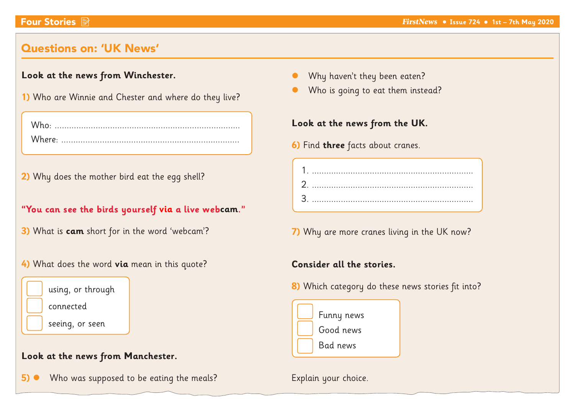### Questions on: 'UK News'

#### **Look at the news from Winchester.**

**1)** Who are Winnie and Chester and where do they live?

**2)** Why does the mother bird eat the egg shell?

"You can see the birds yourself via a live webcam."

- **3)** What is **cam** short for in the word 'webcam'?
- **4)** What does the word **via** mean in this quote?



#### **Look at the news from Manchester.**

**5)** • Who was supposed to be eating the meals?

- Why haven't they been eaten?
- Who is going to eat them instead?

#### **Look at the news from the UK.**

- **6)** Find **three** facts about cranes.
	- 1. ................................................................... 2. ................................................................... 3. ...................................................................

**7)** Why are more cranes living in the UK now?

#### **Consider all the stories.**

**8)** Which category do these news stories fit into?



Explain your choice.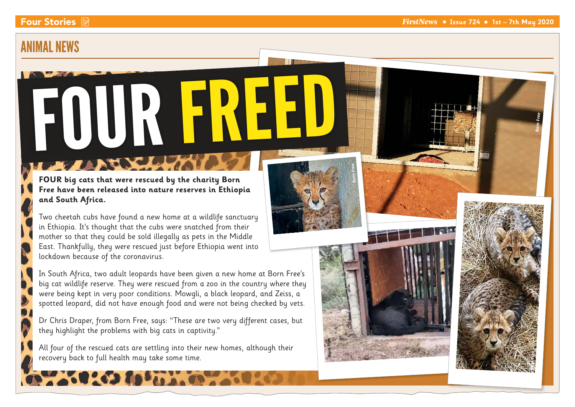**Born Free** 

**Born Free** 

### ANIMAL NEWS

FOUR FREED **Born Free** 

**FOUR big cats that were rescued by the charity Born Free have been released into nature reserves in Ethiopia and South Africa.** 

Two cheetah cubs have found a new home at a wildlife sanctuary in Ethiopia. It's thought that the cubs were snatched from their mother so that they could be sold illegally as pets in the Middle East. Thankfully, they were rescued just before Ethiopia went into lockdown because of the coronavirus.

In South Africa, two adult leopards have been given a new home at Born Free's big cat wildlife reserve. They were rescued from a zoo in the country where they were being kept in very poor conditions. Mowgli, a black leopard, and Zeiss, a spotted leopard, did not have enough food and were not being checked by vets.

Dr Chris Draper, from Born Free, says: "These are two very different cases, but they highlight the problems with big cats in captivity."

**Born Free** 

All four of the rescued cats are settling into their new homes, although their recovery back to full health may take some time.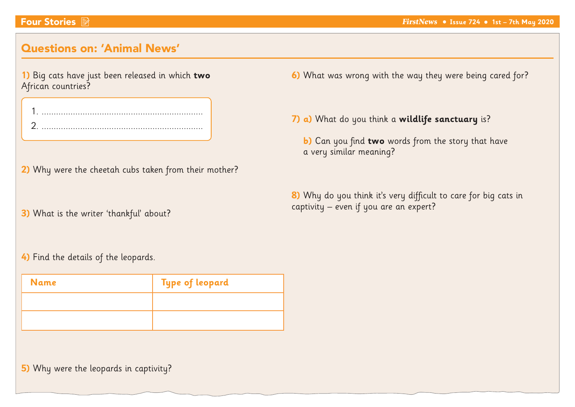### Questions on: 'Animal News'

|                    | 1) Big cats have just been released in which two |  |  |  |
|--------------------|--------------------------------------------------|--|--|--|
| African countries? |                                                  |  |  |  |

- **2)** Why were the cheetah cubs taken from their mother?
- **3)** What is the writer 'thankful' about?
- **6)** What was wrong with the way they were being cared for?
- **7) a)** What do you think a **wildlife sanctuary** is?
	- **b)** Can you find **two** words from the story that have a very similar meaning?
- **8)** Why do you think it's very difficult to care for big cats in captivity – even if you are an expert?

**4)** Find the details of the leopards.

| <b>Name</b> | <b>Type of leopard</b> |
|-------------|------------------------|
|             |                        |
|             |                        |

**5)** Why were the leopards in captivity?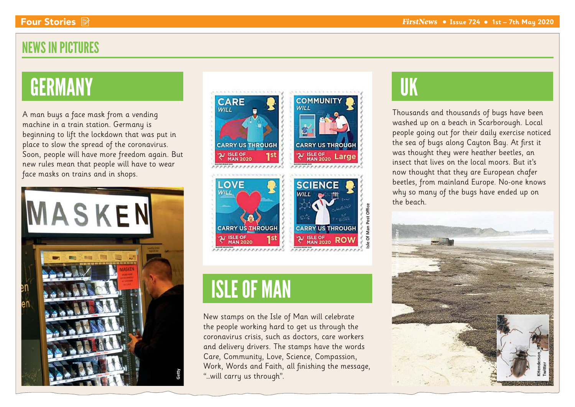### NEWS IN PICTURES

## **GERMANY**

A man buys a face mask from a vending machine in a train station. Germany is beginning to lift the lockdown that was put in place to slow the spread of the coronavirus. Soon, people will have more freedom again. But new rules mean that people will have to wear face masks on trains and in shops.





### ISLE OF MAN

New stamps on the Isle of Man will celebrate the people working hard to get us through the coronavirus crisis, such as doctors, care workers and delivery drivers. The stamps have the words Care, Community, Love, Science, Compassion, Work, Words and Faith, all finishing the message, "…will carry us through".

### UK

**Isle Of Man Post Office**

Thousands and thousands of bugs have been washed up on a beach in Scarborough. Local people going out for their daily exercise noticed the sea of bugs along Cayton Bay. At first it was thought they were heather beetles, an insect that lives on the local moors. But it's now thought that they are European chafer beetles, from mainland Europe. No-one knows why so many of the bugs have ended up on the beach.

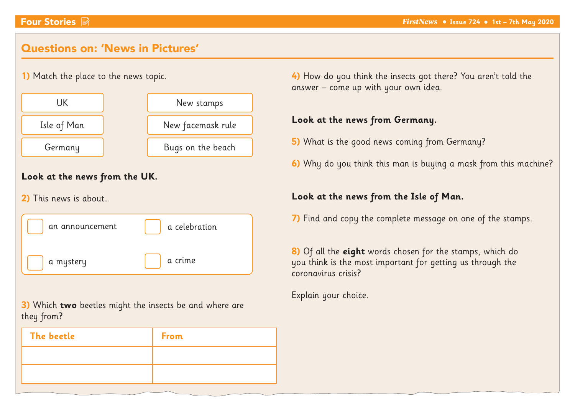### Questions on: 'News in Pictures'

### **1)** Match the place to the news topic. **Look at the news from the UK. 2)** This news is about… an announcement a mystery UK and the stamps of the New stamps Isle of Man  $\parallel$  New facemask rule Germany **Bugs** on the beach a celebration a crime

**3)** Which **two** beetles might the insects be and where are they from?

| The beetle | <b>From</b> |
|------------|-------------|
|            |             |
|            |             |

**4)** How do you think the insects got there? You aren't told the answer – come up with your own idea.

### **Look at the news from Germany.**

- **5)** What is the good news coming from Germany?
- **6)** Why do you think this man is buying a mask from this machine?

### **Look at the news from the Isle of Man.**

**7)** Find and copy the complete message on one of the stamps.

**8)** Of all the **eight** words chosen for the stamps, which do you think is the most important for getting us through the coronavirus crisis?

Explain your choice.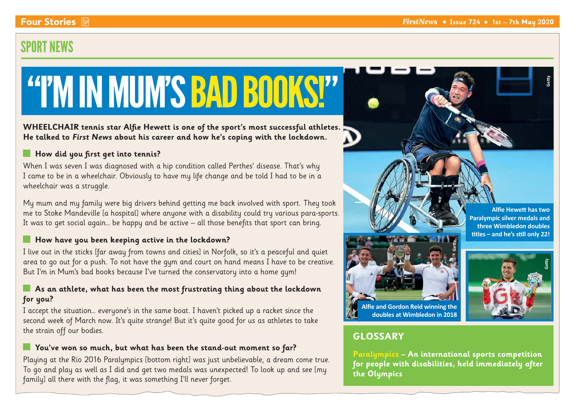### SPORT NEWS

# "I'M IN MUM'S BAD BOOKS!"

**WHEELCHAIR tennis star Alfie Hewett is one of the sport's most successful athletes. He talked to First News about his career and how he's coping with the lockdown.**

#### **How did you first get into tennis?**

When I was seven I was diagnosed with a hip condition called Perthes' disease. That's why I came to be in a wheelchair. Obviously to have my life change and be told I had to be in a wheelchair was a struggle.

My mum and my family were big drivers behind getting me back involved with sport. They took me to Stoke Mandeville [a hospital] where anyone with a disability could try various para-sports. It was to get social again… be happy and be active – all those benefits that sport can bring.

#### **How have you been keeping active in the lockdown?**

I live out in the sticks [far away from towns and cities] in Norfolk, so it's a peaceful and quiet area to go out for a push. To not have the gym and court on hand means I have to be creative. But I'm in Mum's bad books because I've turned the conservatory into a home gym!

#### **As an athlete, what has been the most frustrating thing about the lockdown for you?**

I accept the situation… everyone's in the same boat. I haven't picked up a racket since the second week of March now. It's quite strange! But it's quite good for us as athletes to take the strain off our bodies.

#### **You've won so much, but what has been the stand-out moment so far?**

Playing at the Rio 2016 Paralympics [bottom right] was just unbelievable, a dream come true. To go and play as well as I did and get two medals was unexpected! To look up and see [my family] all there with the flag, it was something I'll never forget.





**Alfie Hewett has two Paralympic silver medals and three Wimbledon doubles** 

**Getty**

**Alfie and Gordon Reid winning the** 

### **GLOSSARY**

**Paralympics – An international sports competition for people with disabilities, held immediately after the Olympics**